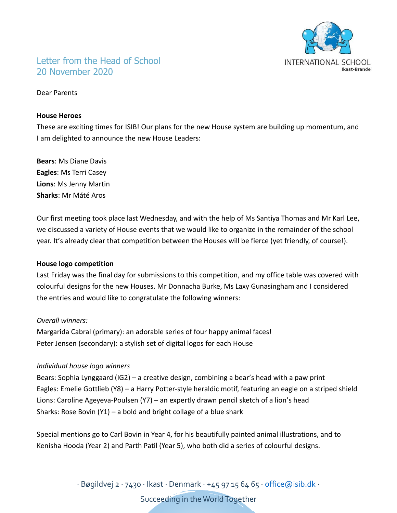

# Letter from the Head of School 20 November 2020

Dear Parents

#### **House Heroes**

These are exciting times for ISIB! Our plans for the new House system are building up momentum, and I am delighted to announce the new House Leaders:

**Bears**: Ms Diane Davis **Eagles**: Ms Terri Casey **Lions**: Ms Jenny Martin **Sharks**: Mr Máté Aros

Our first meeting took place last Wednesday, and with the help of Ms Santiya Thomas and Mr Karl Lee, we discussed a variety of House events that we would like to organize in the remainder of the school year. It's already clear that competition between the Houses will be fierce (yet friendly, of course!).

### **House logo competition**

Last Friday was the final day for submissions to this competition, and my office table was covered with colourful designs for the new Houses. Mr Donnacha Burke, Ms Laxy Gunasingham and I considered the entries and would like to congratulate the following winners:

### *Overall winners:*

Margarida Cabral (primary): an adorable series of four happy animal faces! Peter Jensen (secondary): a stylish set of digital logos for each House

### *Individual house logo winners*

Bears: Sophia Lynggaard (IG2) – a creative design, combining a bear's head with a paw print Eagles: Emelie Gottlieb (Y8) – a Harry Potter-style heraldic motif, featuring an eagle on a striped shield Lions: Caroline Ageyeva-Poulsen (Y7) – an expertly drawn pencil sketch of a lion's head Sharks: Rose Bovin  $(Y1)$  – a bold and bright collage of a blue shark

Special mentions go to Carl Bovin in Year 4, for his beautifully painted animal illustrations, and to Kenisha Hooda (Year 2) and Parth Patil (Year 5), who both did a series of colourful designs.

∙ Bøgildvej 2 ∙ 7430 ∙ Ikast ∙ Denmark ∙ +45 97 15 64 65 ∙ [office@isib.dk](mailto:office@isib.dk) ∙

Succeeding in the World Together